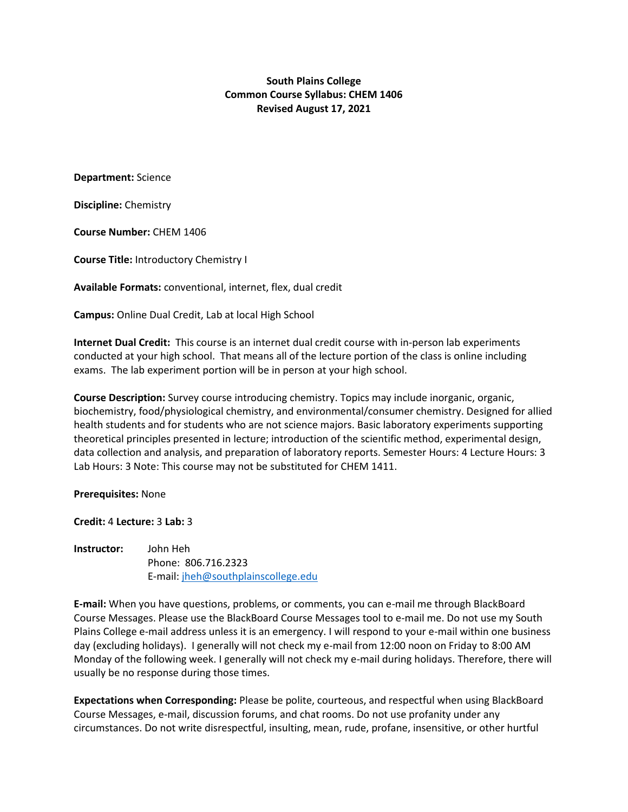**South Plains College Common Course Syllabus: CHEM 1406 Revised August 17, 2021**

**Department:** Science

**Discipline:** Chemistry

**Course Number:** CHEM 1406

**Course Title:** Introductory Chemistry I

**Available Formats:** conventional, internet, flex, dual credit

**Campus:** Online Dual Credit, Lab at local High School

**Internet Dual Credit:** This course is an internet dual credit course with in-person lab experiments conducted at your high school. That means all of the lecture portion of the class is online including exams. The lab experiment portion will be in person at your high school.

**Course Description:** Survey course introducing chemistry. Topics may include inorganic, organic, biochemistry, food/physiological chemistry, and environmental/consumer chemistry. Designed for allied health students and for students who are not science majors. Basic laboratory experiments supporting theoretical principles presented in lecture; introduction of the scientific method, experimental design, data collection and analysis, and preparation of laboratory reports. Semester Hours: 4 Lecture Hours: 3 Lab Hours: 3 Note: This course may not be substituted for CHEM 1411.

**Prerequisites:** None

**Credit:** 4 **Lecture:** 3 **Lab:** 3

**Instructor:** John Heh Phone: 806.716.2323 E-mail: [jheh@southplainscollege.edu](about:blank)

**E-mail:** When you have questions, problems, or comments, you can e-mail me through BlackBoard Course Messages. Please use the BlackBoard Course Messages tool to e-mail me. Do not use my South Plains College e-mail address unless it is an emergency. I will respond to your e-mail within one business day (excluding holidays). I generally will not check my e-mail from 12:00 noon on Friday to 8:00 AM Monday of the following week. I generally will not check my e-mail during holidays. Therefore, there will usually be no response during those times.

**Expectations when Corresponding:** Please be polite, courteous, and respectful when using BlackBoard Course Messages, e-mail, discussion forums, and chat rooms. Do not use profanity under any circumstances. Do not write disrespectful, insulting, mean, rude, profane, insensitive, or other hurtful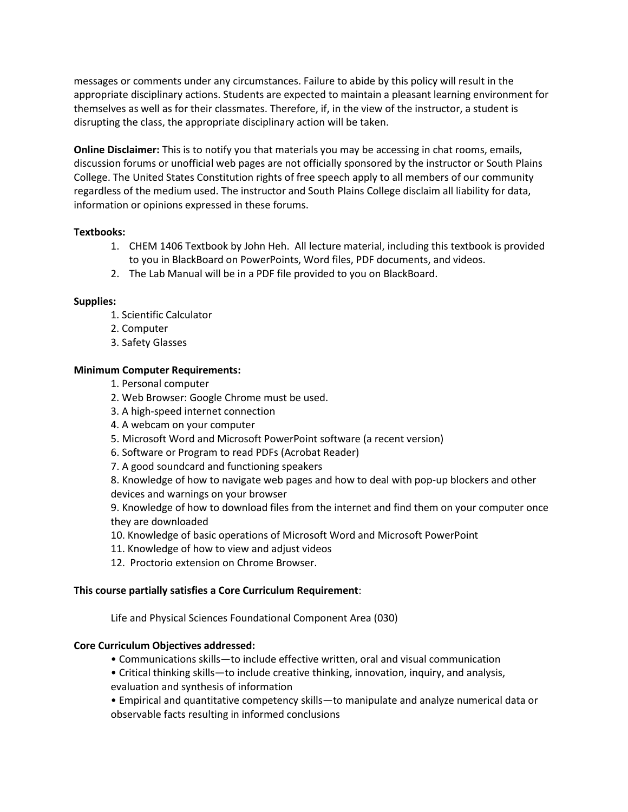messages or comments under any circumstances. Failure to abide by this policy will result in the appropriate disciplinary actions. Students are expected to maintain a pleasant learning environment for themselves as well as for their classmates. Therefore, if, in the view of the instructor, a student is disrupting the class, the appropriate disciplinary action will be taken.

**Online Disclaimer:** This is to notify you that materials you may be accessing in chat rooms, emails, discussion forums or unofficial web pages are not officially sponsored by the instructor or South Plains College. The United States Constitution rights of free speech apply to all members of our community regardless of the medium used. The instructor and South Plains College disclaim all liability for data, information or opinions expressed in these forums.

## **Textbooks:**

- 1. CHEM 1406 Textbook by John Heh. All lecture material, including this textbook is provided to you in BlackBoard on PowerPoints, Word files, PDF documents, and videos.
- 2. The Lab Manual will be in a PDF file provided to you on BlackBoard.

# **Supplies:**

- 1. Scientific Calculator
- 2. Computer
- 3. Safety Glasses

# **Minimum Computer Requirements:**

- 1. Personal computer
- 2. Web Browser: Google Chrome must be used.
- 3. A high-speed internet connection
- 4. A webcam on your computer
- 5. Microsoft Word and Microsoft PowerPoint software (a recent version)
- 6. Software or Program to read PDFs (Acrobat Reader)
- 7. A good soundcard and functioning speakers

8. Knowledge of how to navigate web pages and how to deal with pop-up blockers and other devices and warnings on your browser

9. Knowledge of how to download files from the internet and find them on your computer once they are downloaded

- 10. Knowledge of basic operations of Microsoft Word and Microsoft PowerPoint
- 11. Knowledge of how to view and adjust videos
- 12. Proctorio extension on Chrome Browser.

## **This course partially satisfies a Core Curriculum Requirement**:

Life and Physical Sciences Foundational Component Area (030)

## **Core Curriculum Objectives addressed:**

- Communications skills—to include effective written, oral and visual communication
- Critical thinking skills—to include creative thinking, innovation, inquiry, and analysis, evaluation and synthesis of information

• Empirical and quantitative competency skills—to manipulate and analyze numerical data or observable facts resulting in informed conclusions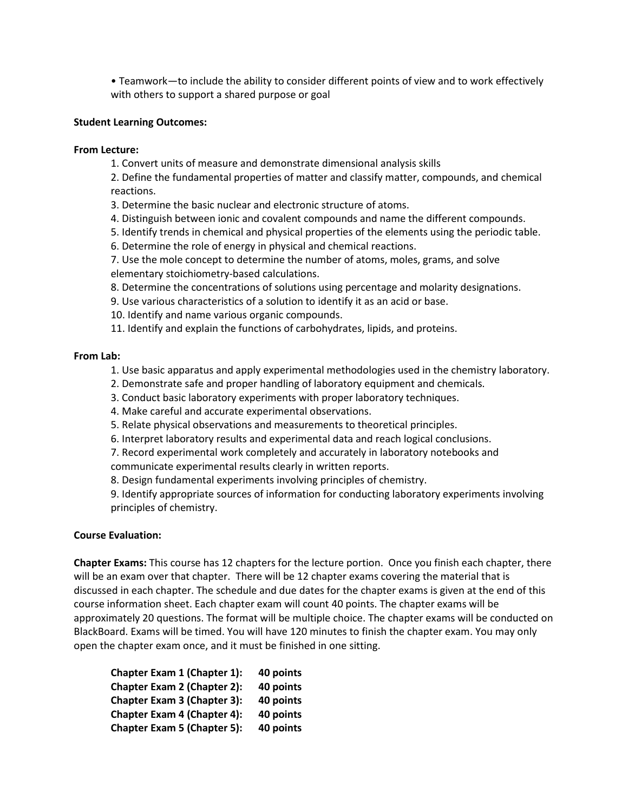• Teamwork—to include the ability to consider different points of view and to work effectively with others to support a shared purpose or goal

### **Student Learning Outcomes:**

#### **From Lecture:**

1. Convert units of measure and demonstrate dimensional analysis skills

2. Define the fundamental properties of matter and classify matter, compounds, and chemical reactions.

3. Determine the basic nuclear and electronic structure of atoms.

4. Distinguish between ionic and covalent compounds and name the different compounds.

5. Identify trends in chemical and physical properties of the elements using the periodic table.

6. Determine the role of energy in physical and chemical reactions.

7. Use the mole concept to determine the number of atoms, moles, grams, and solve elementary stoichiometry-based calculations.

8. Determine the concentrations of solutions using percentage and molarity designations.

9. Use various characteristics of a solution to identify it as an acid or base.

10. Identify and name various organic compounds.

11. Identify and explain the functions of carbohydrates, lipids, and proteins.

### **From Lab:**

- 1. Use basic apparatus and apply experimental methodologies used in the chemistry laboratory.
- 2. Demonstrate safe and proper handling of laboratory equipment and chemicals.
- 3. Conduct basic laboratory experiments with proper laboratory techniques.
- 4. Make careful and accurate experimental observations.

5. Relate physical observations and measurements to theoretical principles.

6. Interpret laboratory results and experimental data and reach logical conclusions.

7. Record experimental work completely and accurately in laboratory notebooks and communicate experimental results clearly in written reports.

8. Design fundamental experiments involving principles of chemistry.

9. Identify appropriate sources of information for conducting laboratory experiments involving principles of chemistry.

## **Course Evaluation:**

**Chapter Exams:** This course has 12 chapters for the lecture portion. Once you finish each chapter, there will be an exam over that chapter. There will be 12 chapter exams covering the material that is discussed in each chapter. The schedule and due dates for the chapter exams is given at the end of this course information sheet. Each chapter exam will count 40 points. The chapter exams will be approximately 20 questions. The format will be multiple choice. The chapter exams will be conducted on BlackBoard. Exams will be timed. You will have 120 minutes to finish the chapter exam. You may only open the chapter exam once, and it must be finished in one sitting.

| Chapter Exam 1 (Chapter 1):        | 40 points |
|------------------------------------|-----------|
| <b>Chapter Exam 2 (Chapter 2):</b> | 40 points |
| Chapter Exam 3 (Chapter 3):        | 40 points |
| <b>Chapter Exam 4 (Chapter 4):</b> | 40 points |
| <b>Chapter Exam 5 (Chapter 5):</b> | 40 points |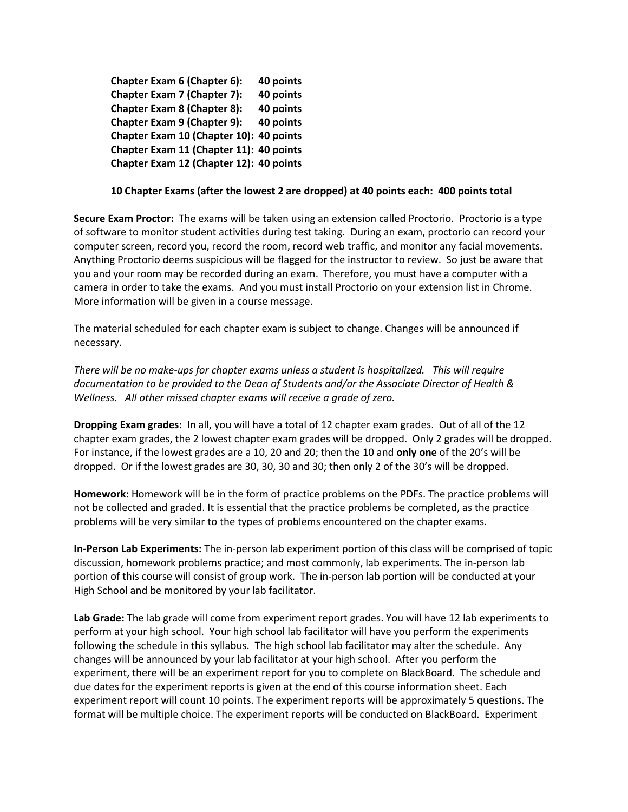**Chapter Exam 6 (Chapter 6): 40 points Chapter Exam 7 (Chapter 7): 40 points Chapter Exam 8 (Chapter 8): 40 points Chapter Exam 9 (Chapter 9): 40 points Chapter Exam 10 (Chapter 10): 40 points Chapter Exam 11 (Chapter 11): 40 points Chapter Exam 12 (Chapter 12): 40 points** 

## **10 Chapter Exams (after the lowest 2 are dropped) at 40 points each: 400 points total**

**Secure Exam Proctor:** The exams will be taken using an extension called Proctorio. Proctorio is a type of software to monitor student activities during test taking. During an exam, proctorio can record your computer screen, record you, record the room, record web traffic, and monitor any facial movements. Anything Proctorio deems suspicious will be flagged for the instructor to review. So just be aware that you and your room may be recorded during an exam. Therefore, you must have a computer with a camera in order to take the exams. And you must install Proctorio on your extension list in Chrome. More information will be given in a course message.

The material scheduled for each chapter exam is subject to change. Changes will be announced if necessary.

*There will be no make-ups for chapter exams unless a student is hospitalized. This will require documentation to be provided to the Dean of Students and/or the Associate Director of Health & Wellness. All other missed chapter exams will receive a grade of zero.*

**Dropping Exam grades:** In all, you will have a total of 12 chapter exam grades. Out of all of the 12 chapter exam grades, the 2 lowest chapter exam grades will be dropped. Only 2 grades will be dropped. For instance, if the lowest grades are a 10, 20 and 20; then the 10 and **only one** of the 20's will be dropped. Or if the lowest grades are 30, 30, 30 and 30; then only 2 of the 30's will be dropped.

**Homework:** Homework will be in the form of practice problems on the PDFs. The practice problems will not be collected and graded. It is essential that the practice problems be completed, as the practice problems will be very similar to the types of problems encountered on the chapter exams.

**In-Person Lab Experiments:** The in-person lab experiment portion of this class will be comprised of topic discussion, homework problems practice; and most commonly, lab experiments. The in-person lab portion of this course will consist of group work. The in-person lab portion will be conducted at your High School and be monitored by your lab facilitator.

**Lab Grade:** The lab grade will come from experiment report grades. You will have 12 lab experiments to perform at your high school. Your high school lab facilitator will have you perform the experiments following the schedule in this syllabus. The high school lab facilitator may alter the schedule. Any changes will be announced by your lab facilitator at your high school. After you perform the experiment, there will be an experiment report for you to complete on BlackBoard. The schedule and due dates for the experiment reports is given at the end of this course information sheet. Each experiment report will count 10 points. The experiment reports will be approximately 5 questions. The format will be multiple choice. The experiment reports will be conducted on BlackBoard. Experiment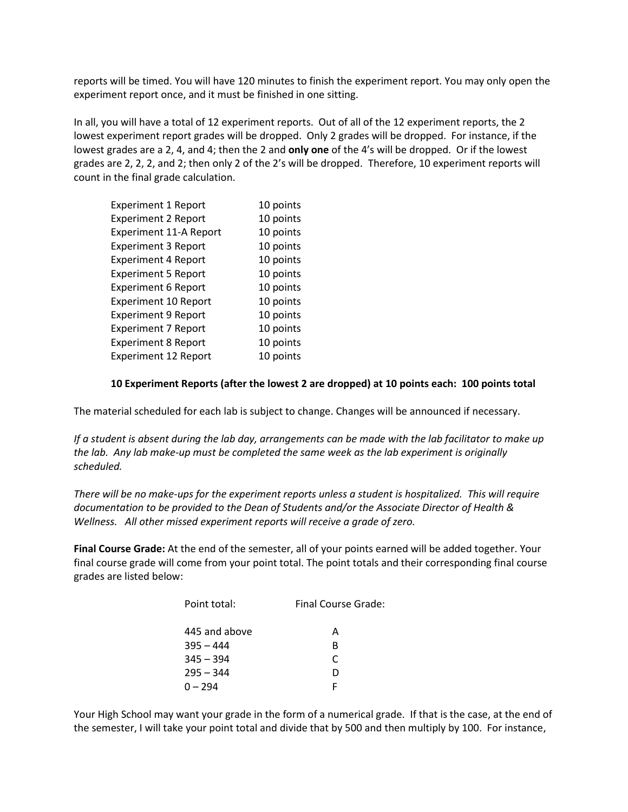reports will be timed. You will have 120 minutes to finish the experiment report. You may only open the experiment report once, and it must be finished in one sitting.

In all, you will have a total of 12 experiment reports. Out of all of the 12 experiment reports, the 2 lowest experiment report grades will be dropped. Only 2 grades will be dropped. For instance, if the lowest grades are a 2, 4, and 4; then the 2 and **only one** of the 4's will be dropped. Or if the lowest grades are 2, 2, 2, and 2; then only 2 of the 2's will be dropped. Therefore, 10 experiment reports will count in the final grade calculation.

| <b>Experiment 1 Report</b>    | 10 points |
|-------------------------------|-----------|
| <b>Experiment 2 Report</b>    | 10 points |
| <b>Experiment 11-A Report</b> | 10 points |
| <b>Experiment 3 Report</b>    | 10 points |
| <b>Experiment 4 Report</b>    | 10 points |
| <b>Experiment 5 Report</b>    | 10 points |
| <b>Experiment 6 Report</b>    | 10 points |
| <b>Experiment 10 Report</b>   | 10 points |
| <b>Experiment 9 Report</b>    | 10 points |
| <b>Experiment 7 Report</b>    | 10 points |
| <b>Experiment 8 Report</b>    | 10 points |
| <b>Experiment 12 Report</b>   | 10 points |

## **10 Experiment Reports (after the lowest 2 are dropped) at 10 points each: 100 points total**

The material scheduled for each lab is subject to change. Changes will be announced if necessary.

*If a student is absent during the lab day, arrangements can be made with the lab facilitator to make up the lab. Any lab make-up must be completed the same week as the lab experiment is originally scheduled.*

*There will be no make-ups for the experiment reports unless a student is hospitalized. This will require documentation to be provided to the Dean of Students and/or the Associate Director of Health & Wellness. All other missed experiment reports will receive a grade of zero.*

**Final Course Grade:** At the end of the semester, all of your points earned will be added together. Your final course grade will come from your point total. The point totals and their corresponding final course grades are listed below:

| Point total:  | Final Course Grade: |
|---------------|---------------------|
| 445 and above | А                   |
| $395 - 444$   | в                   |
| $345 - 394$   | C                   |
| $295 - 344$   | D                   |
| $0 - 294$     | F                   |
|               |                     |

Your High School may want your grade in the form of a numerical grade. If that is the case, at the end of the semester, I will take your point total and divide that by 500 and then multiply by 100. For instance,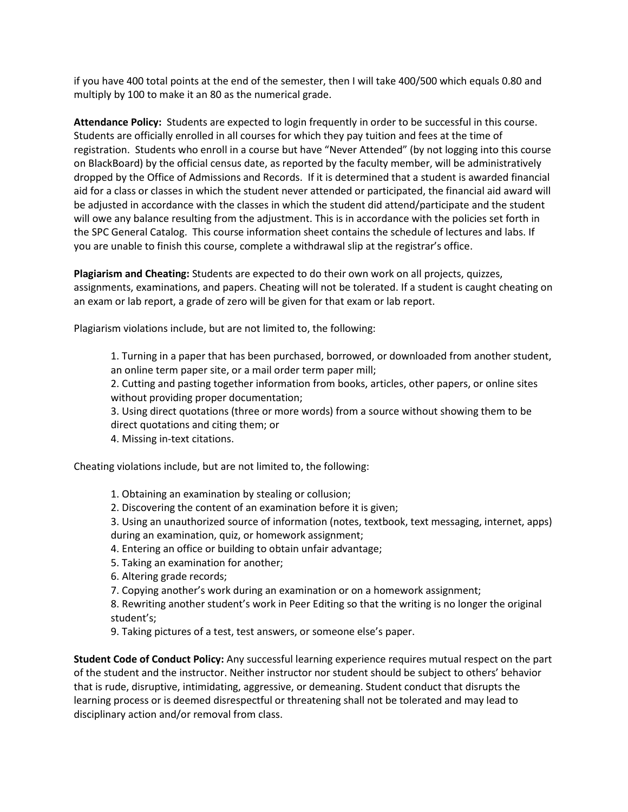if you have 400 total points at the end of the semester, then I will take 400/500 which equals 0.80 and multiply by 100 to make it an 80 as the numerical grade.

**Attendance Policy:** Students are expected to login frequently in order to be successful in this course. Students are officially enrolled in all courses for which they pay tuition and fees at the time of registration. Students who enroll in a course but have "Never Attended" (by not logging into this course on BlackBoard) by the official census date, as reported by the faculty member, will be administratively dropped by the Office of Admissions and Records. If it is determined that a student is awarded financial aid for a class or classes in which the student never attended or participated, the financial aid award will be adjusted in accordance with the classes in which the student did attend/participate and the student will owe any balance resulting from the adjustment. This is in accordance with the policies set forth in the SPC General Catalog. This course information sheet contains the schedule of lectures and labs. If you are unable to finish this course, complete a withdrawal slip at the registrar's office.

**Plagiarism and Cheating:** Students are expected to do their own work on all projects, quizzes, assignments, examinations, and papers. Cheating will not be tolerated. If a student is caught cheating on an exam or lab report, a grade of zero will be given for that exam or lab report.

Plagiarism violations include, but are not limited to, the following:

1. Turning in a paper that has been purchased, borrowed, or downloaded from another student, an online term paper site, or a mail order term paper mill;

2. Cutting and pasting together information from books, articles, other papers, or online sites without providing proper documentation;

3. Using direct quotations (three or more words) from a source without showing them to be direct quotations and citing them; or

4. Missing in-text citations.

Cheating violations include, but are not limited to, the following:

- 1. Obtaining an examination by stealing or collusion;
- 2. Discovering the content of an examination before it is given;

3. Using an unauthorized source of information (notes, textbook, text messaging, internet, apps) during an examination, quiz, or homework assignment;

4. Entering an office or building to obtain unfair advantage;

- 5. Taking an examination for another;
- 6. Altering grade records;
- 7. Copying another's work during an examination or on a homework assignment;

8. Rewriting another student's work in Peer Editing so that the writing is no longer the original student's;

9. Taking pictures of a test, test answers, or someone else's paper.

**Student Code of Conduct Policy:** Any successful learning experience requires mutual respect on the part of the student and the instructor. Neither instructor nor student should be subject to others' behavior that is rude, disruptive, intimidating, aggressive, or demeaning. Student conduct that disrupts the learning process or is deemed disrespectful or threatening shall not be tolerated and may lead to disciplinary action and/or removal from class.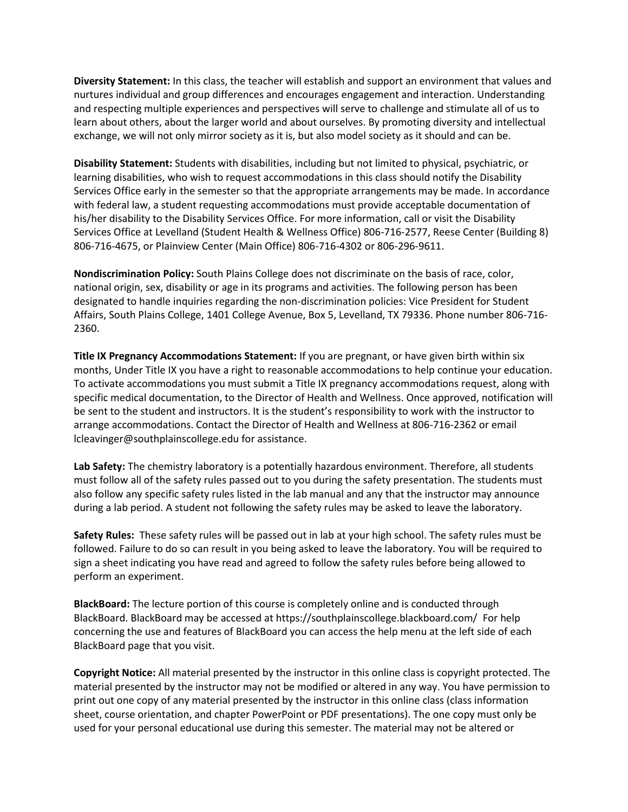**Diversity Statement:** In this class, the teacher will establish and support an environment that values and nurtures individual and group differences and encourages engagement and interaction. Understanding and respecting multiple experiences and perspectives will serve to challenge and stimulate all of us to learn about others, about the larger world and about ourselves. By promoting diversity and intellectual exchange, we will not only mirror society as it is, but also model society as it should and can be.

**Disability Statement:** Students with disabilities, including but not limited to physical, psychiatric, or learning disabilities, who wish to request accommodations in this class should notify the Disability Services Office early in the semester so that the appropriate arrangements may be made. In accordance with federal law, a student requesting accommodations must provide acceptable documentation of his/her disability to the Disability Services Office. For more information, call or visit the Disability Services Office at Levelland (Student Health & Wellness Office) 806-716-2577, Reese Center (Building 8) 806-716-4675, or Plainview Center (Main Office) 806-716-4302 or 806-296-9611.

**Nondiscrimination Policy:** South Plains College does not discriminate on the basis of race, color, national origin, sex, disability or age in its programs and activities. The following person has been designated to handle inquiries regarding the non-discrimination policies: Vice President for Student Affairs, South Plains College, 1401 College Avenue, Box 5, Levelland, TX 79336. Phone number 806-716- 2360.

**Title IX Pregnancy Accommodations Statement:** If you are pregnant, or have given birth within six months, Under Title IX you have a right to reasonable accommodations to help continue your education. To activate accommodations you must submit a Title IX pregnancy accommodations request, along with specific medical documentation, to the Director of Health and Wellness. Once approved, notification will be sent to the student and instructors. It is the student's responsibility to work with the instructor to arrange accommodations. Contact the Director of Health and Wellness at 806-716-2362 or email lcleavinger@southplainscollege.edu for assistance.

**Lab Safety:** The chemistry laboratory is a potentially hazardous environment. Therefore, all students must follow all of the safety rules passed out to you during the safety presentation. The students must also follow any specific safety rules listed in the lab manual and any that the instructor may announce during a lab period. A student not following the safety rules may be asked to leave the laboratory.

**Safety Rules:** These safety rules will be passed out in lab at your high school. The safety rules must be followed. Failure to do so can result in you being asked to leave the laboratory. You will be required to sign a sheet indicating you have read and agreed to follow the safety rules before being allowed to perform an experiment.

**BlackBoard:** The lecture portion of this course is completely online and is conducted through BlackBoard. BlackBoard may be accessed at https://southplainscollege.blackboard.com/ For help concerning the use and features of BlackBoard you can access the help menu at the left side of each BlackBoard page that you visit.

**Copyright Notice:** All material presented by the instructor in this online class is copyright protected. The material presented by the instructor may not be modified or altered in any way. You have permission to print out one copy of any material presented by the instructor in this online class (class information sheet, course orientation, and chapter PowerPoint or PDF presentations). The one copy must only be used for your personal educational use during this semester. The material may not be altered or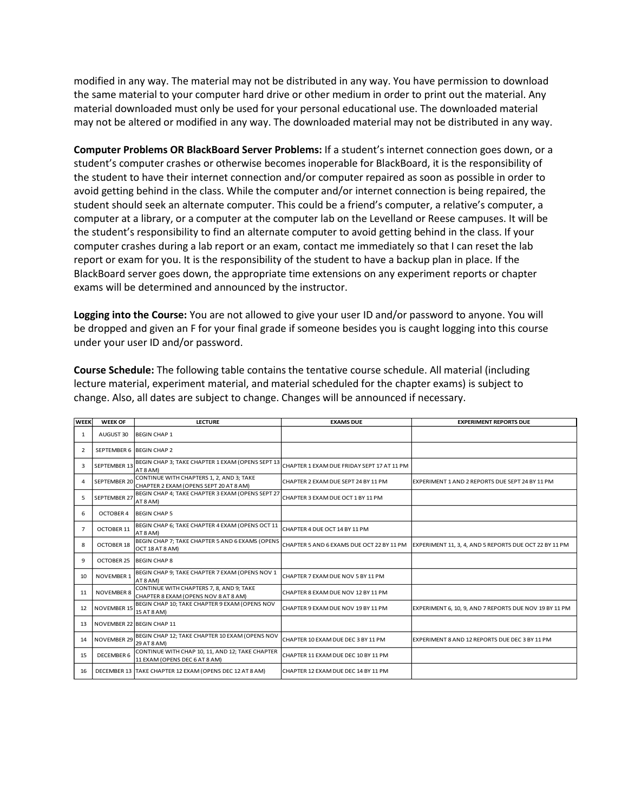modified in any way. The material may not be distributed in any way. You have permission to download the same material to your computer hard drive or other medium in order to print out the material. Any material downloaded must only be used for your personal educational use. The downloaded material may not be altered or modified in any way. The downloaded material may not be distributed in any way.

**Computer Problems OR BlackBoard Server Problems:** If a student's internet connection goes down, or a student's computer crashes or otherwise becomes inoperable for BlackBoard, it is the responsibility of the student to have their internet connection and/or computer repaired as soon as possible in order to avoid getting behind in the class. While the computer and/or internet connection is being repaired, the student should seek an alternate computer. This could be a friend's computer, a relative's computer, a computer at a library, or a computer at the computer lab on the Levelland or Reese campuses. It will be the student's responsibility to find an alternate computer to avoid getting behind in the class. If your computer crashes during a lab report or an exam, contact me immediately so that I can reset the lab report or exam for you. It is the responsibility of the student to have a backup plan in place. If the BlackBoard server goes down, the appropriate time extensions on any experiment reports or chapter exams will be determined and announced by the instructor.

**Logging into the Course:** You are not allowed to give your user ID and/or password to anyone. You will be dropped and given an F for your final grade if someone besides you is caught logging into this course under your user ID and/or password.

**Course Schedule:** The following table contains the tentative course schedule. All material (including lecture material, experiment material, and material scheduled for the chapter exams) is subject to change. Also, all dates are subject to change. Changes will be announced if necessary.

| <b>WEEK</b>    | <b>WEEK OF</b>           | <b>LECTURE</b>                                                                     | <b>EXAMS DUE</b>                           | <b>EXPERIMENT REPORTS DUE</b>                                                                    |
|----------------|--------------------------|------------------------------------------------------------------------------------|--------------------------------------------|--------------------------------------------------------------------------------------------------|
| 1              | AUGUST 30                | <b>BEGIN CHAP 1</b>                                                                |                                            |                                                                                                  |
| 2              | SEPTEMBER 6 BEGIN CHAP 2 |                                                                                    |                                            |                                                                                                  |
| 3              | <b>SEPTEMBER 13</b>      | BEGIN CHAP 3; TAKE CHAPTER 1 EXAM (OPENS SEPT 13<br>AT 8 AM)                       | CHAPTER 1 EXAM DUE FRIDAY SEPT 17 AT 11 PM |                                                                                                  |
| 4              | <b>SEPTEMBER 20</b>      | CONTINUE WITH CHAPTERS 1, 2, AND 3; TAKE<br>CHAPTER 2 EXAM (OPENS SEPT 20 AT 8 AM) | CHAPTER 2 EXAM DUE SEPT 24 BY 11 PM        | EXPERIMENT 1 AND 2 REPORTS DUE SEPT 24 BY 11 PM                                                  |
| 5              | <b>SEPTEMBER 27</b>      | BEGIN CHAP 4; TAKE CHAPTER 3 EXAM (OPENS SEPT 27<br>AT 8 AM)                       | CHAPTER 3 EXAM DUE OCT 1 BY 11 PM          |                                                                                                  |
| 6              | <b>OCTOBER 4</b>         | <b>BEGIN CHAP 5</b>                                                                |                                            |                                                                                                  |
| $\overline{7}$ | OCTOBER 11               | BEGIN CHAP 6; TAKE CHAPTER 4 EXAM (OPENS OCT 11<br>AT 8 AM)                        | CHAPTER 4 DUE OCT 14 BY 11 PM              |                                                                                                  |
| 8              | <b>OCTOBER 18</b>        | BEGIN CHAP 7; TAKE CHAPTER 5 AND 6 EXAMS (OPENS<br>OCT 18 AT 8 AM)                 |                                            | CHAPTER 5 AND 6 EXAMS DUE OCT 22 BY 11 PM EXPERIMENT 11, 3, 4, AND 5 REPORTS DUE OCT 22 BY 11 PM |
| 9              | OCTOBER 25               | <b>BEGIN CHAP 8</b>                                                                |                                            |                                                                                                  |
| 10             | <b>NOVEMBER 1</b>        | BEGIN CHAP 9; TAKE CHAPTER 7 EXAM (OPENS NOV 1<br>AT 8 AM)                         | CHAPTER 7 EXAM DUE NOV 5 BY 11 PM          |                                                                                                  |
| 11             | <b>NOVEMBER 8</b>        | CONTINUE WITH CHAPTERS 7, 8, AND 9; TAKE<br>CHAPTER 8 EXAM (OPENS NOV 8 AT 8 AM)   | CHAPTER 8 EXAM DUE NOV 12 BY 11 PM         |                                                                                                  |
| 12             | <b>NOVEMBER 15</b>       | BEGIN CHAP 10; TAKE CHAPTER 9 EXAM (OPENS NOV<br>15 AT 8 AM)                       | CHAPTER 9 EXAM DUE NOV 19 BY 11 PM         | EXPERIMENT 6, 10, 9, AND 7 REPORTS DUE NOV 19 BY 11 PM                                           |
| 13             |                          | NOVEMBER 22 BEGIN CHAP 11                                                          |                                            |                                                                                                  |
| 14             | <b>NOVEMBER 29</b>       | BEGIN CHAP 12; TAKE CHAPTER 10 EXAM (OPENS NOV<br>29 AT 8 AM)                      | CHAPTER 10 EXAM DUE DEC 3 BY 11 PM         | EXPERIMENT 8 AND 12 REPORTS DUE DEC 3 BY 11 PM                                                   |
| 15             | DECEMBER 6               | CONTINUE WITH CHAP 10, 11, AND 12; TAKE CHAPTER<br>11 EXAM (OPENS DEC 6 AT 8 AM)   | CHAPTER 11 EXAM DUE DEC 10 BY 11 PM        |                                                                                                  |
| 16             |                          | DECEMBER 13 TAKE CHAPTER 12 EXAM (OPENS DEC 12 AT 8 AM)                            | CHAPTER 12 EXAM DUE DEC 14 BY 11 PM        |                                                                                                  |